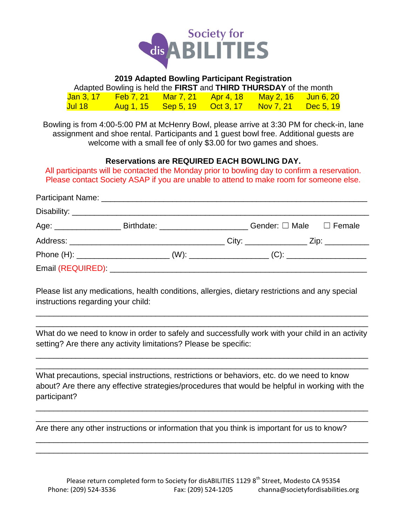

## **2019 Adapted Bowling Participant Registration**

|                | Adapted Bowling is held the <b>FIRST</b> and <b>THIRD THURSDAY</b> of the month |                               |                                      |                  |
|----------------|---------------------------------------------------------------------------------|-------------------------------|--------------------------------------|------------------|
|                | <u>Jan 3, 17 Feb 7, 21 Mar 7, 21 Apr 4, 18</u>                                  |                               | <mark>、 May 2, 16   Jun 6, 20</mark> |                  |
| <u>Jul 18.</u> |                                                                                 | Aug 1, 15 Sep 5, 19 Oct 3, 17 | Nov 7, 21                            | <u>Dec 5, 19</u> |

Bowling is from 4:00-5:00 PM at McHenry Bowl, please arrive at 3:30 PM for check-in, lane assignment and shoe rental. Participants and 1 guest bowl free. Additional guests are welcome with a small fee of only \$3.00 for two games and shoes.

### **Reservations are REQUIRED EACH BOWLING DAY.**

All participants will be contacted the Monday prior to bowling day to confirm a reservation. Please contact Society ASAP if you are unable to attend to make room for someone else.

| Age: _______________________Birthdate: ____________________________Gender: □ Male □ Female |  |  |  |
|--------------------------------------------------------------------------------------------|--|--|--|
|                                                                                            |  |  |  |
|                                                                                            |  |  |  |
|                                                                                            |  |  |  |

Please list any medications, health conditions, allergies, dietary restrictions and any special instructions regarding your child:

What do we need to know in order to safely and successfully work with your child in an activity setting? Are there any activity limitations? Please be specific:

\_\_\_\_\_\_\_\_\_\_\_\_\_\_\_\_\_\_\_\_\_\_\_\_\_\_\_\_\_\_\_\_\_\_\_\_\_\_\_\_\_\_\_\_\_\_\_\_\_\_\_\_\_\_\_\_\_\_\_\_\_\_\_\_\_\_\_\_\_\_\_\_\_\_\_ \_\_\_\_\_\_\_\_\_\_\_\_\_\_\_\_\_\_\_\_\_\_\_\_\_\_\_\_\_\_\_\_\_\_\_\_\_\_\_\_\_\_\_\_\_\_\_\_\_\_\_\_\_\_\_\_\_\_\_\_\_\_\_\_\_\_\_\_\_\_\_\_\_\_\_

\_\_\_\_\_\_\_\_\_\_\_\_\_\_\_\_\_\_\_\_\_\_\_\_\_\_\_\_\_\_\_\_\_\_\_\_\_\_\_\_\_\_\_\_\_\_\_\_\_\_\_\_\_\_\_\_\_\_\_\_\_\_\_\_\_\_\_\_\_\_\_\_\_\_\_ \_\_\_\_\_\_\_\_\_\_\_\_\_\_\_\_\_\_\_\_\_\_\_\_\_\_\_\_\_\_\_\_\_\_\_\_\_\_\_\_\_\_\_\_\_\_\_\_\_\_\_\_\_\_\_\_\_\_\_\_\_\_\_\_\_\_\_\_\_\_\_\_\_\_\_

What precautions, special instructions, restrictions or behaviors, etc. do we need to know about? Are there any effective strategies/procedures that would be helpful in working with the participant?

\_\_\_\_\_\_\_\_\_\_\_\_\_\_\_\_\_\_\_\_\_\_\_\_\_\_\_\_\_\_\_\_\_\_\_\_\_\_\_\_\_\_\_\_\_\_\_\_\_\_\_\_\_\_\_\_\_\_\_\_\_\_\_\_\_\_\_\_\_\_\_\_\_\_\_ \_\_\_\_\_\_\_\_\_\_\_\_\_\_\_\_\_\_\_\_\_\_\_\_\_\_\_\_\_\_\_\_\_\_\_\_\_\_\_\_\_\_\_\_\_\_\_\_\_\_\_\_\_\_\_\_\_\_\_\_\_\_\_\_\_\_\_\_\_\_\_\_\_\_\_

\_\_\_\_\_\_\_\_\_\_\_\_\_\_\_\_\_\_\_\_\_\_\_\_\_\_\_\_\_\_\_\_\_\_\_\_\_\_\_\_\_\_\_\_\_\_\_\_\_\_\_\_\_\_\_\_\_\_\_\_\_\_\_\_\_\_\_\_\_\_\_\_\_\_\_ \_\_\_\_\_\_\_\_\_\_\_\_\_\_\_\_\_\_\_\_\_\_\_\_\_\_\_\_\_\_\_\_\_\_\_\_\_\_\_\_\_\_\_\_\_\_\_\_\_\_\_\_\_\_\_\_\_\_\_\_\_\_\_\_\_\_\_\_\_\_\_\_\_\_\_

Are there any other instructions or information that you think is important for us to know?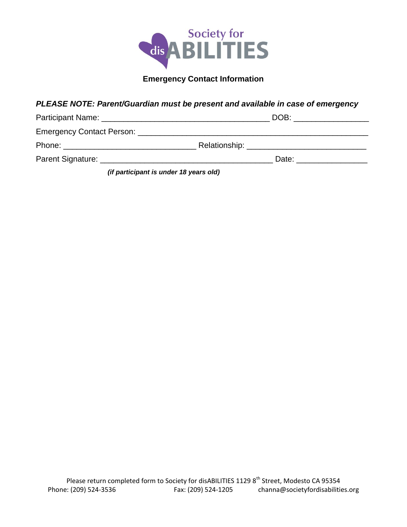

# **Emergency Contact Information**

# *PLEASE NOTE: Parent/Guardian must be present and available in case of emergency*

| Participant Name: Name: Name and All Participant Name and All Participant Name and All Participant of the All                                                                                                                        |                                        | DOB: ________________    |  |
|--------------------------------------------------------------------------------------------------------------------------------------------------------------------------------------------------------------------------------------|----------------------------------------|--------------------------|--|
|                                                                                                                                                                                                                                      |                                        |                          |  |
| Phone: ________________________________                                                                                                                                                                                              |                                        |                          |  |
| Parent Signature: <u>Department of the Contract of the Contract of the Contract of the Contract of the Contract of the Contract of the Contract of the Contract of the Contract of the Contract of the Contract of the Contract </u> |                                        | Date: __________________ |  |
|                                                                                                                                                                                                                                      | (if narticinant is under 18 years old) |                          |  |

*(if participant is under 18 years old)*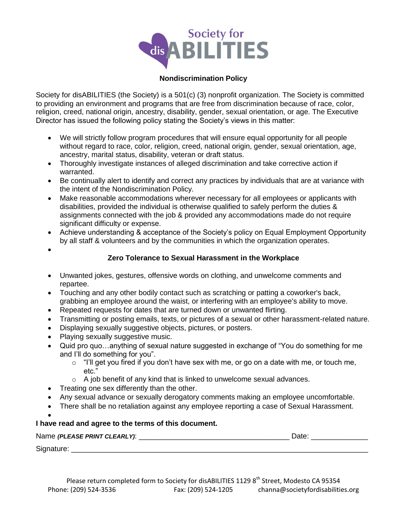

#### **Nondiscrimination Policy**

Society for disABILITIES (the Society) is a 501(c) (3) nonprofit organization. The Society is committed to providing an environment and programs that are free from discrimination because of race, color, religion, creed, national origin, ancestry, disability, gender, sexual orientation, or age. The Executive Director has issued the following policy stating the Society's views in this matter:

- We will strictly follow program procedures that will ensure equal opportunity for all people without regard to race, color, religion, creed, national origin, gender, sexual orientation, age, ancestry, marital status, disability, veteran or draft status.
- Thoroughly investigate instances of alleged discrimination and take corrective action if warranted.
- Be continually alert to identify and correct any practices by individuals that are at variance with the intent of the Nondiscrimination Policy.
- Make reasonable accommodations wherever necessary for all employees or applicants with disabilities, provided the individual is otherwise qualified to safely perform the duties & assignments connected with the job & provided any accommodations made do not require significant difficulty or expense.
- Achieve understanding & acceptance of the Society's policy on Equal Employment Opportunity by all staff & volunteers and by the communities in which the organization operates.
- $\bullet$

### **Zero Tolerance to Sexual Harassment in the Workplace**

- Unwanted jokes, gestures, offensive words on clothing, and unwelcome comments and repartee.
- Touching and any other bodily contact such as scratching or patting a coworker's back, grabbing an employee around the waist, or interfering with an employee's ability to move.
- Repeated requests for dates that are turned down or unwanted flirting.
- Transmitting or posting emails, texts, or pictures of a sexual or other harassment-related nature.
- Displaying sexually suggestive objects, pictures, or posters.
- Playing sexually suggestive music.
- Quid pro quo…anything of sexual nature suggested in exchange of "You do something for me and I'll do something for you".
	- $\circ$  "I'll get you fired if you don't have sex with me, or go on a date with me, or touch me, etc."
	- $\circ$  A job benefit of any kind that is linked to unwelcome sexual advances.
- Treating one sex differently than the other.
- Any sexual advance or sexually derogatory comments making an employee uncomfortable.
- There shall be no retaliation against any employee reporting a case of Sexual Harassment.

#### $\bullet$ **I have read and agree to the terms of this document.**

| Name (PLEASE PRINT CLEARLY): | Date |
|------------------------------|------|
| Signature:                   |      |